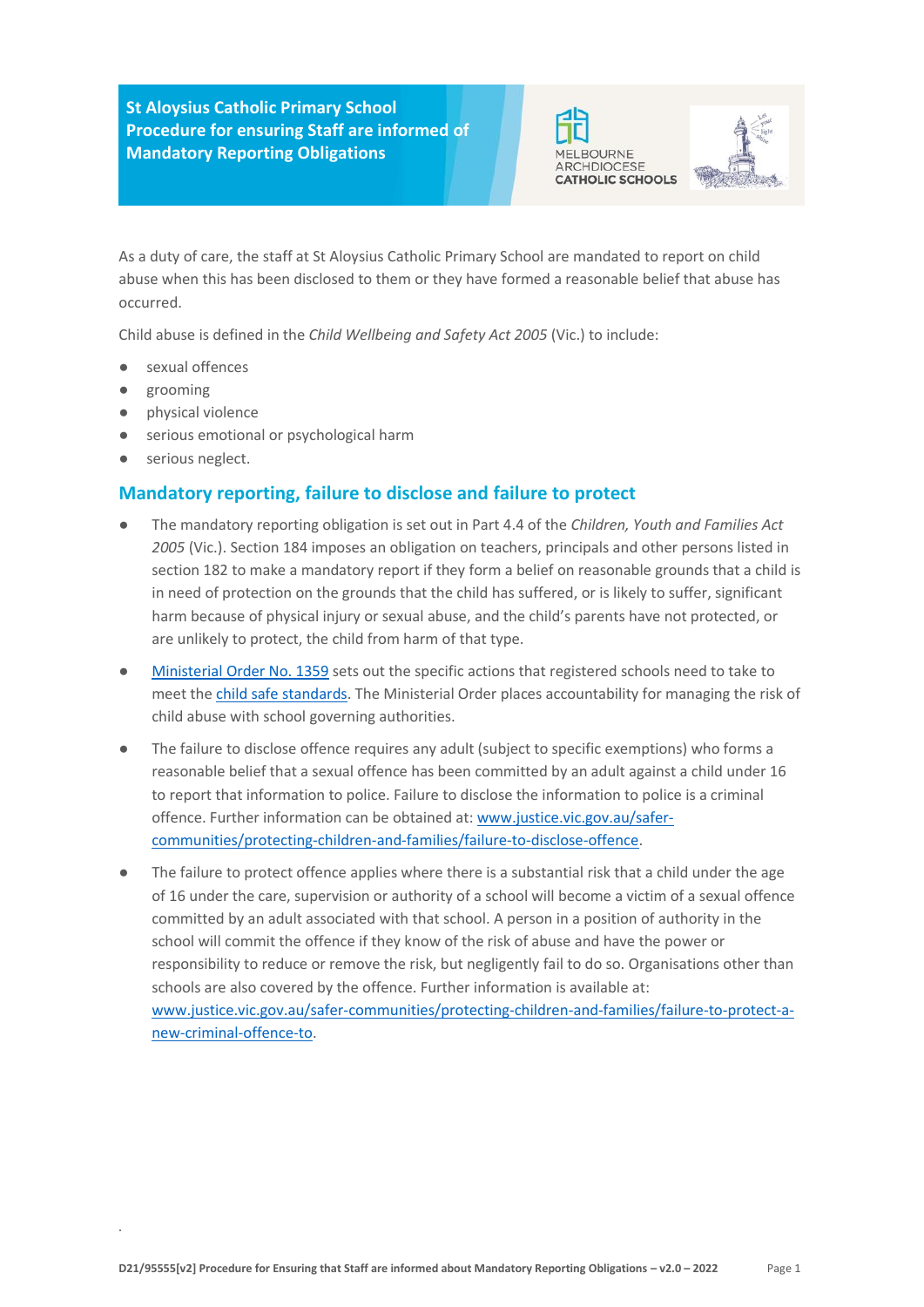**St Aloysius Catholic Primary School Procedure for ensuring Staff are informed of Mandatory Reporting Obligations** MELBOURNE





As a duty of care, the staff at St Aloysius Catholic Primary School are mandated to report on child abuse when this has been disclosed to them or they have formed a reasonable belief that abuse has occurred.

Child abuse is defined in the *Child Wellbeing and Safety Act 2005* (Vic.) to include:

- sexual offences
- grooming
- physical violence
- serious emotional or psychological harm
- serious neglect.

## **Mandatory reporting, failure to disclose and failure to protect**

- The mandatory reporting obligation is set out in Part 4.4 of the *Children, Youth and Families Act 2005* (Vic.). Section 184 imposes an obligation on teachers, principals and other persons listed in section 182 to make a mandatory report if they form a belief on reasonable grounds that a child is in need of protection on the grounds that the child has suffered, or is likely to suffer, significant harm because of physical injury or sexual abuse, and the child's parents have not protected, or are unlikely to protect, the child from harm of that type.
- [Ministerial Order No. 1359](https://www.vrqa.vic.gov.au/Documents/MinOrder1359childsafe.pdf) sets out the specific actions that registered schools need to take to meet th[e](https://www.vrqa.vic.gov.au/childsafe/Pages/standards.aspx) [child safe standards.](https://www.vrqa.vic.gov.au/childsafe/Pages/standards.aspx) The Ministerial Order places accountability for managing the risk of child abuse with school governing authorities.
- The failure to disclose offence requires any adult (subject to specific exemptions) who forms a reasonable belief that a sexual offence has been committed by an adult against a child under 16 to report that information to police. Failure to disclose the information to police is a criminal offence. Further information can be obtained at[: www.justice.vic.gov.au/safer](https://www.justice.vic.gov.au/safer-communities/protecting-children-and-families/failure-to-disclose-offence)[communities/protecting-children-and-families/failure-to-disclose-offence.](https://www.justice.vic.gov.au/safer-communities/protecting-children-and-families/failure-to-disclose-offence)
- The failure to protect offence applies where there is a substantial risk that a child under the age of 16 under the care, supervision or authority of a school will become a victim of a sexual offence committed by an adult associated with that school. A person in a position of authority in the school will commit the offence if they know of the risk of abuse and have the power or responsibility to reduce or remove the risk, but negligently fail to do so. Organisations other than schools are also covered by the offence. Further information is available at: [www.justice.vic.gov.au/safer-communities/protecting-children-and-families/failure-to-protect-a](https://www.justice.vic.gov.au/safer-communities/protecting-children-and-families/failure-to-protect-a-new-criminal-offence-to)[new-criminal-offence-to.](https://www.justice.vic.gov.au/safer-communities/protecting-children-and-families/failure-to-protect-a-new-criminal-offence-to)